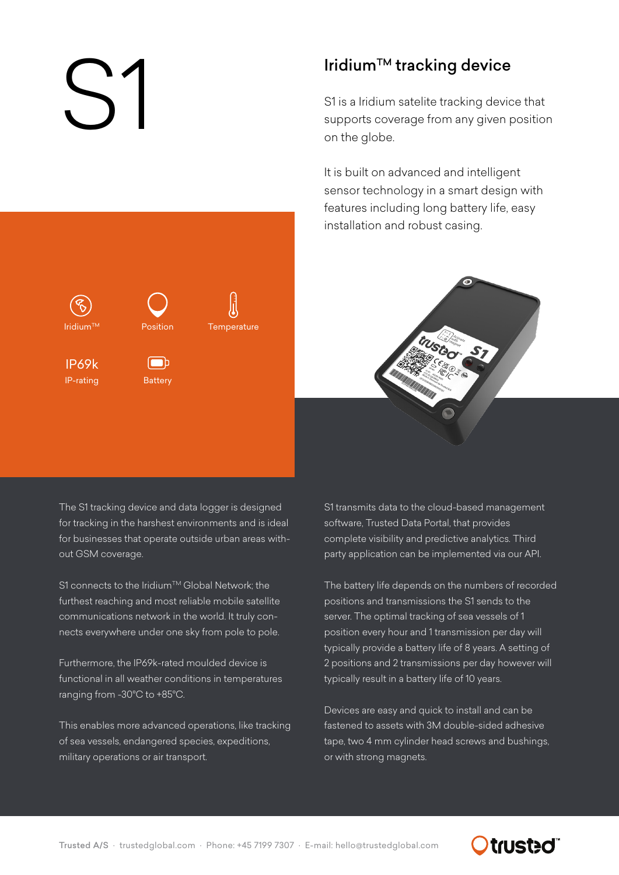$Iridium<sup>TM</sup>$ 

IP-rating

IP69k

Iridium™ tracking device<br>S1 is a Iridium satelite tracking device<br>supports coverage from any given<br>on the globe. S1 is a Iridium satelite tracking device that supports coverage from any given position on the globe.

> It is built on advanced and intelligent sensor technology in a smart design with features including long battery life, easy installation and robust casing.



The S1 tracking device and data logger is designed for tracking in the harshest environments and is ideal for businesses that operate outside urban areas without GSM coverage.

Position

**Temperature** 

**Battery** 

 $\blacksquare$ 

S1 connects to the Iridium™ Global Network; the furthest reaching and most reliable mobile satellite communications network in the world. It truly connects everywhere under one sky from pole to pole.

Furthermore, the IP69k-rated moulded device is functional in all weather conditions in temperatures ranging from -30°C to +85°C.

This enables more advanced operations, like tracking of sea vessels, endangered species, expeditions, military operations or air transport.

S1 transmits data to the cloud-based management software, Trusted Data Portal, that provides complete visibility and predictive analytics. Third party application can be implemented via our API.

The battery life depends on the numbers of recorded positions and transmissions the S1 sends to the server. The optimal tracking of sea vessels of 1 position every hour and 1 transmission per day will typically provide a battery life of 8 years. A setting of 2 positions and 2 transmissions per day however will typically result in a battery life of 10 years.

Devices are easy and quick to install and can be fastened to assets with 3M double-sided adhesive tape, two 4 mm cylinder head screws and bushings, or with strong magnets.